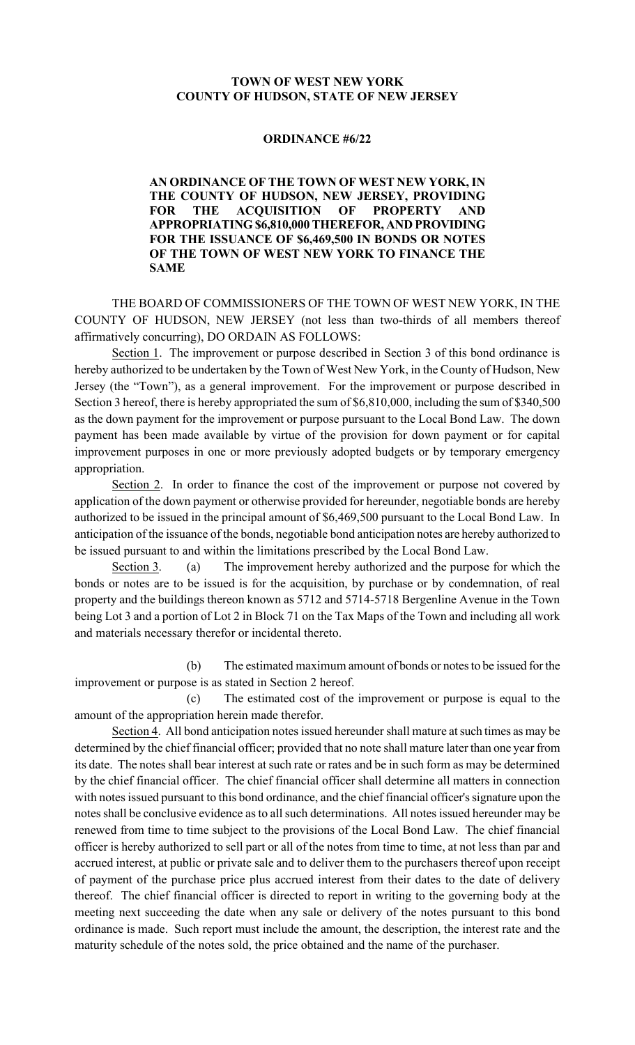## **TOWN OF WEST NEW YORK COUNTY OF HUDSON, STATE OF NEW JERSEY**

## **ORDINANCE #6/22**

**AN ORDINANCE OF THE TOWN OF WEST NEW YORK, IN THE COUNTY OF HUDSON, NEW JERSEY, PROVIDING FOR THE ACQUISITION OF PROPERTY AND APPROPRIATING \$6,810,000 THEREFOR, AND PROVIDING FOR THE ISSUANCE OF \$6,469,500 IN BONDS OR NOTES OF THE TOWN OF WEST NEW YORK TO FINANCE THE SAME**

THE BOARD OF COMMISSIONERS OF THE TOWN OF WEST NEW YORK, IN THE COUNTY OF HUDSON, NEW JERSEY (not less than two-thirds of all members thereof affirmatively concurring), DO ORDAIN AS FOLLOWS:

Section 1. The improvement or purpose described in Section 3 of this bond ordinance is hereby authorized to be undertaken by the Town of West New York, in the County of Hudson, New Jersey (the "Town"), as a general improvement. For the improvement or purpose described in Section 3 hereof, there is hereby appropriated the sum of \$6,810,000, including the sum of \$340,500 as the down payment for the improvement or purpose pursuant to the Local Bond Law. The down payment has been made available by virtue of the provision for down payment or for capital improvement purposes in one or more previously adopted budgets or by temporary emergency appropriation.

Section 2. In order to finance the cost of the improvement or purpose not covered by application of the down payment or otherwise provided for hereunder, negotiable bonds are hereby authorized to be issued in the principal amount of \$6,469,500 pursuant to the Local Bond Law. In anticipation of the issuance of the bonds, negotiable bond anticipation notes are hereby authorized to be issued pursuant to and within the limitations prescribed by the Local Bond Law.

Section 3. (a) The improvement hereby authorized and the purpose for which the bonds or notes are to be issued is for the acquisition, by purchase or by condemnation, of real property and the buildings thereon known as 5712 and 5714-5718 Bergenline Avenue in the Town being Lot 3 and a portion of Lot 2 in Block 71 on the Tax Maps of the Town and including all work and materials necessary therefor or incidental thereto.

(b) The estimated maximum amount of bonds or notes to be issued for the improvement or purpose is as stated in Section 2 hereof.

(c) The estimated cost of the improvement or purpose is equal to the amount of the appropriation herein made therefor.

Section 4. All bond anticipation notes issued hereunder shall mature at such times as may be determined by the chief financial officer; provided that no note shall mature later than one year from its date. The notes shall bear interest at such rate or rates and be in such form as may be determined by the chief financial officer. The chief financial officer shall determine all matters in connection with notes issued pursuant to this bond ordinance, and the chief financial officer's signature upon the notes shall be conclusive evidence as to all such determinations. All notes issued hereunder may be renewed from time to time subject to the provisions of the Local Bond Law. The chief financial officer is hereby authorized to sell part or all of the notes from time to time, at not less than par and accrued interest, at public or private sale and to deliver them to the purchasers thereof upon receipt of payment of the purchase price plus accrued interest from their dates to the date of delivery thereof. The chief financial officer is directed to report in writing to the governing body at the meeting next succeeding the date when any sale or delivery of the notes pursuant to this bond ordinance is made. Such report must include the amount, the description, the interest rate and the maturity schedule of the notes sold, the price obtained and the name of the purchaser.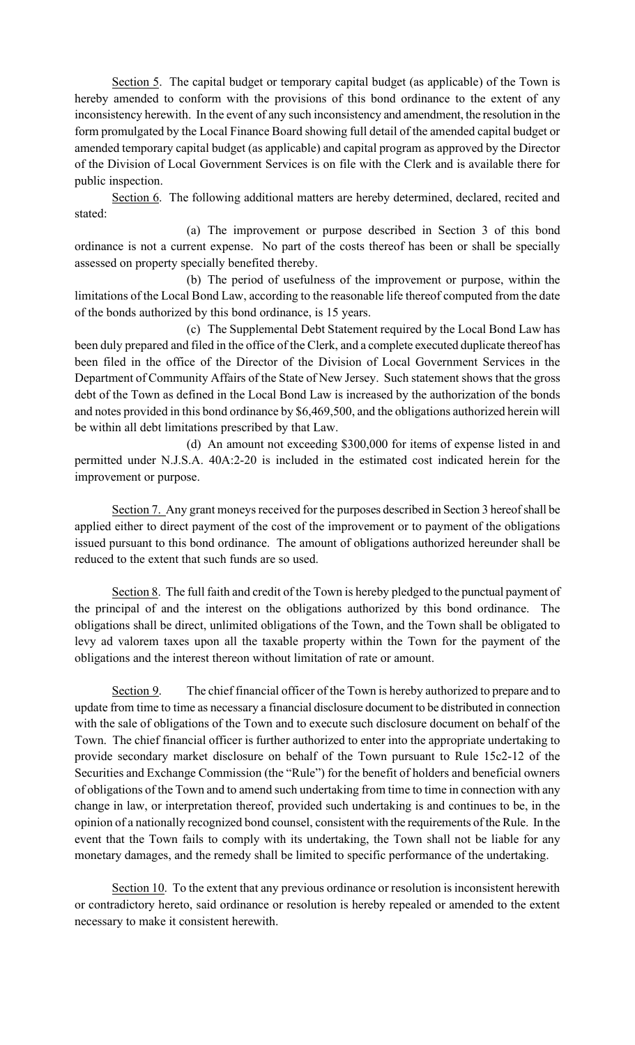Section 5. The capital budget or temporary capital budget (as applicable) of the Town is hereby amended to conform with the provisions of this bond ordinance to the extent of any inconsistency herewith. In the event of any such inconsistency and amendment, the resolution in the form promulgated by the Local Finance Board showing full detail of the amended capital budget or amended temporary capital budget (as applicable) and capital program as approved by the Director of the Division of Local Government Services is on file with the Clerk and is available there for public inspection.

Section 6. The following additional matters are hereby determined, declared, recited and stated:

(a) The improvement or purpose described in Section 3 of this bond ordinance is not a current expense. No part of the costs thereof has been or shall be specially assessed on property specially benefited thereby.

(b) The period of usefulness of the improvement or purpose, within the limitations of the Local Bond Law, according to the reasonable life thereof computed from the date of the bonds authorized by this bond ordinance, is 15 years.

(c) The Supplemental Debt Statement required by the Local Bond Law has been duly prepared and filed in the office of the Clerk, and a complete executed duplicate thereof has been filed in the office of the Director of the Division of Local Government Services in the Department of Community Affairs of the State of New Jersey. Such statement shows that the gross debt of the Town as defined in the Local Bond Law is increased by the authorization of the bonds and notes provided in this bond ordinance by \$6,469,500, and the obligations authorized herein will be within all debt limitations prescribed by that Law.

(d) An amount not exceeding \$300,000 for items of expense listed in and permitted under N.J.S.A. 40A:2-20 is included in the estimated cost indicated herein for the improvement or purpose.

Section 7. Any grant moneys received for the purposes described in Section 3 hereof shall be applied either to direct payment of the cost of the improvement or to payment of the obligations issued pursuant to this bond ordinance. The amount of obligations authorized hereunder shall be reduced to the extent that such funds are so used.

Section 8. The full faith and credit of the Town is hereby pledged to the punctual payment of the principal of and the interest on the obligations authorized by this bond ordinance. The obligations shall be direct, unlimited obligations of the Town, and the Town shall be obligated to levy ad valorem taxes upon all the taxable property within the Town for the payment of the obligations and the interest thereon without limitation of rate or amount.

Section 9. The chief financial officer of the Town is hereby authorized to prepare and to update from time to time as necessary a financial disclosure document to be distributed in connection with the sale of obligations of the Town and to execute such disclosure document on behalf of the Town. The chief financial officer is further authorized to enter into the appropriate undertaking to provide secondary market disclosure on behalf of the Town pursuant to Rule 15c2-12 of the Securities and Exchange Commission (the "Rule") for the benefit of holders and beneficial owners of obligations of the Town and to amend such undertaking from time to time in connection with any change in law, or interpretation thereof, provided such undertaking is and continues to be, in the opinion of a nationally recognized bond counsel, consistent with the requirements of the Rule. In the event that the Town fails to comply with its undertaking, the Town shall not be liable for any monetary damages, and the remedy shall be limited to specific performance of the undertaking.

Section 10. To the extent that any previous ordinance or resolution is inconsistent herewith or contradictory hereto, said ordinance or resolution is hereby repealed or amended to the extent necessary to make it consistent herewith.